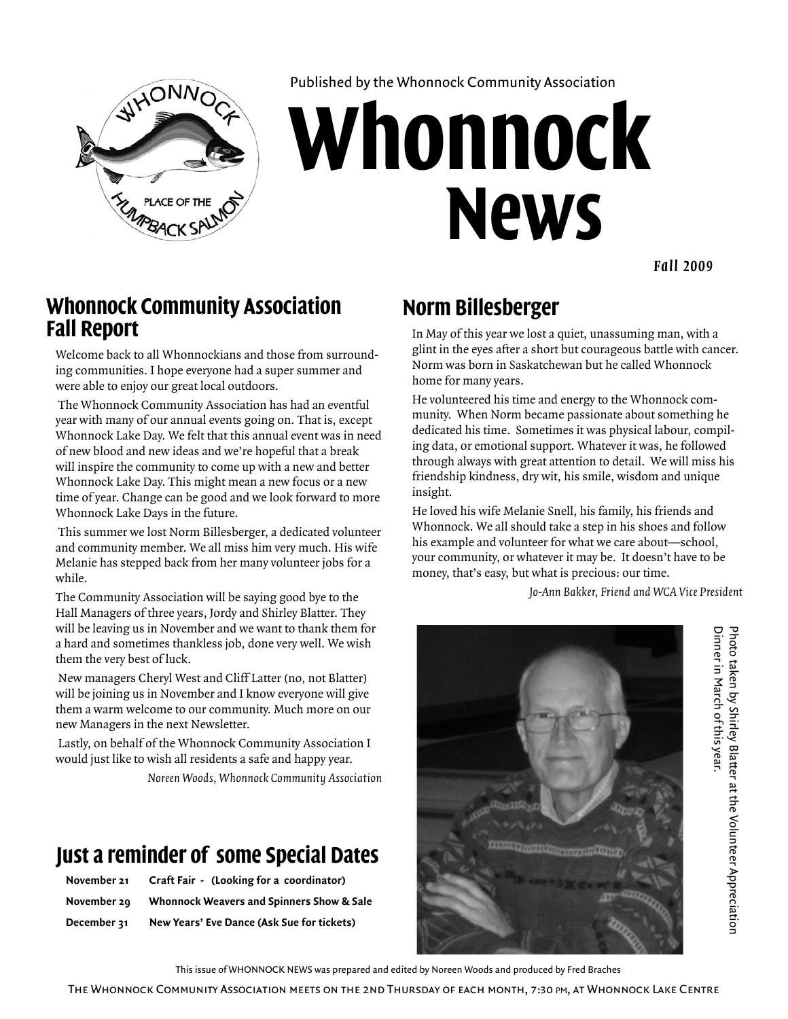

Published by the Whonnock Community Association

# **Whonnock News**

*Fall 2009*

#### **Whonnock Community Association Fall Report**

Welcome back to all Whonnockians and those from surrounding communities. I hope everyone had a super summer and were able to enjoy our great local outdoors.

 The Whonnock Community Association has had an eventful year with many of our annual events going on. That is, except Whonnock Lake Day. We felt that this annual event was in need of new blood and new ideas and we're hopeful that a break will inspire the community to come up with a new and better Whonnock Lake Day. This might mean a new focus or a new time of year. Change can be good and we look forward to more Whonnock Lake Days in the future.

 This summer we lost Norm Billesberger, a dedicated volunteer and community member. We all miss him very much. His wife Melanie has stepped back from her many volunteer jobs for a while.

The Community Association will be saying good bye to the Hall Managers of three years, Jordy and Shirley Blatter. They will be leaving us in November and we want to thank them for a hard and sometimes thankless job, done very well. We wish them the very best of luck.

 New managers Cheryl West and Cliff Latter (no, not Blatter) will be joining us in November and I know everyone will give them a warm welcome to our community. Much more on our new Managers in the next Newsletter.

 Lastly, on behalf of the Whonnock Community Association I would just like to wish all residents a safe and happy year.

*Noreen Woods, Whonnock Community Association*

## **Just a reminder of some Special Dates**

| November 21 | Craft Fair - (Looking for a coordinator)   |
|-------------|--------------------------------------------|
| November 20 | Whonnock Weavers and Spinners Show & Sale  |
| December 31 | New Years' Eve Dance (Ask Sue for tickets) |

## **Norm Billesberger**

In May of this year we lost a quiet, unassuming man, with a glint in the eyes after a short but courageous battle with cancer. Norm was born in Saskatchewan but he called Whonnock home for many years.

He volunteered his time and energy to the Whonnock community. When Norm became passionate about something he dedicated his time. Sometimes it was physical labour, compiling data, or emotional support. Whatever it was, he followed through always with great attention to detail. We will miss his friendship kindness, dry wit, his smile, wisdom and unique insight.

He loved his wife Melanie Snell, his family, his friends and Whonnock. We all should take a step in his shoes and follow his example and volunteer for what we care about—school, your community, or whatever it may be. It doesn't have to be money, that's easy, but what is precious: our time.

*Jo-Ann Bakker, Friend and WCA Vice President*



Dinner in March of this year. Photo taken by Shirley Blatter at the Volunteer Appreciation Photo taken by Shirley Blatter at the Volunteer Appreciation Dinner in March of this year.

This issue of Whonnock News was prepared and edited by Noreen Woods and produced by Fred Braches

The Whonnock Community Association meets on the 2nd Thursday of each month, 7:30 pm, at Whonnock Lake Centre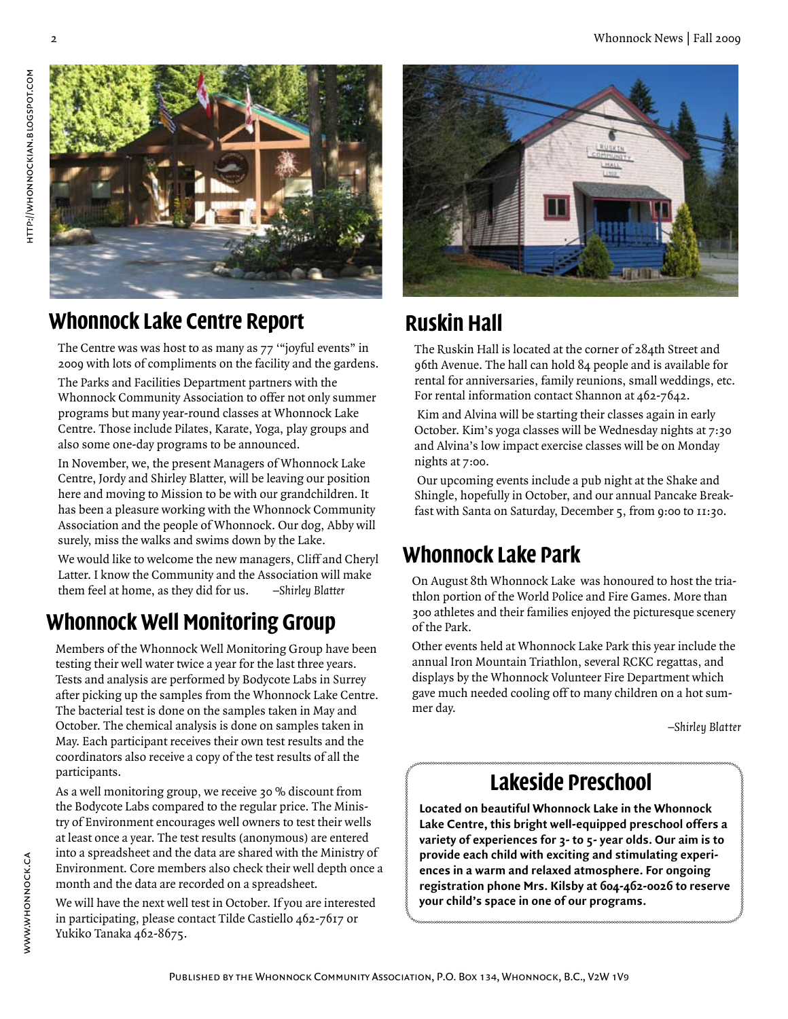

## **Whonnock Lake Centre Report**

The Centre was was host to as many as 77 '"joyful events" in 2009 with lots of compliments on the facility and the gardens.

The Parks and Facilities Department partners with the Whonnock Community Association to offer not only summer programs but many year-round classes at Whonnock Lake Centre. Those include Pilates, Karate, Yoga, play groups and also some one-day programs to be announced.

In November, we, the present Managers of Whonnock Lake Centre, Jordy and Shirley Blatter, will be leaving our position here and moving to Mission to be with our grandchildren. It has been a pleasure working with the Whonnock Community Association and the people of Whonnock. Our dog, Abby will surely, miss the walks and swims down by the Lake.

We would like to welcome the new managers, Cliff and Cheryl Latter. I know the Community and the Association will make them feel at home, as they did for us. –*Shirley Blatter*

## **Whonnock Well Monitoring Group**

Members of the Whonnock Well Monitoring Group have been testing their well water twice a year for the last three years. Tests and analysis are performed by Bodycote Labs in Surrey after picking up the samples from the Whonnock Lake Centre. The bacterial test is done on the samples taken in May and October. The chemical analysis is done on samples taken in May. Each participant receives their own test results and the coordinators also receive a copy of the test results of all the participants.

As a well monitoring group, we receive 30 % discount from the Bodycote Labs compared to the regular price. The Ministry of Environment encourages well owners to test their wells at least once a year. The test results (anonymous) are entered into a spreadsheet and the data are shared with the Ministry of Environment. Core members also check their well depth once a month and the data are recorded on a spreadsheet.

We will have the next well test in October. If you are interested in participating, please contact Tilde Castiello 462-7617 or Yukiko Tanaka 462-8675.



## **Ruskin Hall**

The Ruskin Hall is located at the corner of 284th Street and 96th Avenue. The hall can hold 84 people and is available for rental for anniversaries, family reunions, small weddings, etc. For rental information contact Shannon at 462-7642.

 Kim and Alvina will be starting their classes again in early October. Kim's yoga classes will be Wednesday nights at 7:30 and Alvina's low impact exercise classes will be on Monday nights at 7:00.

 Our upcoming events include a pub night at the Shake and Shingle, hopefully in October, and our annual Pancake Breakfast with Santa on Saturday, December 5, from 9:00 to 11:30.

#### **Whonnock Lake Park**

On August 8th Whonnock Lake was honoured to host the triathlon portion of the World Police and Fire Games. More than 300 athletes and their families enjoyed the picturesque scenery of the Park.

Other events held at Whonnock Lake Park this year include the annual Iron Mountain Triathlon, several RCKC regattas, and displays by the Whonnock Volunteer Fire Department which gave much needed cooling off to many children on a hot summer day.

 *–Shirley Blatter*

#### **Lakeside Preschool**

**Located on beautiful Whonnock Lake in the Whonnock Lake Centre, this bright well-equipped preschool offers a variety of experiences for 3- to 5- year olds. Our aim is to provide each child with exciting and stimulating experiences in a warm and relaxed atmosphere. For ongoing registration phone Mrs. Kilsby at 604-462-0026 to reserve your child's space in one of our programs.**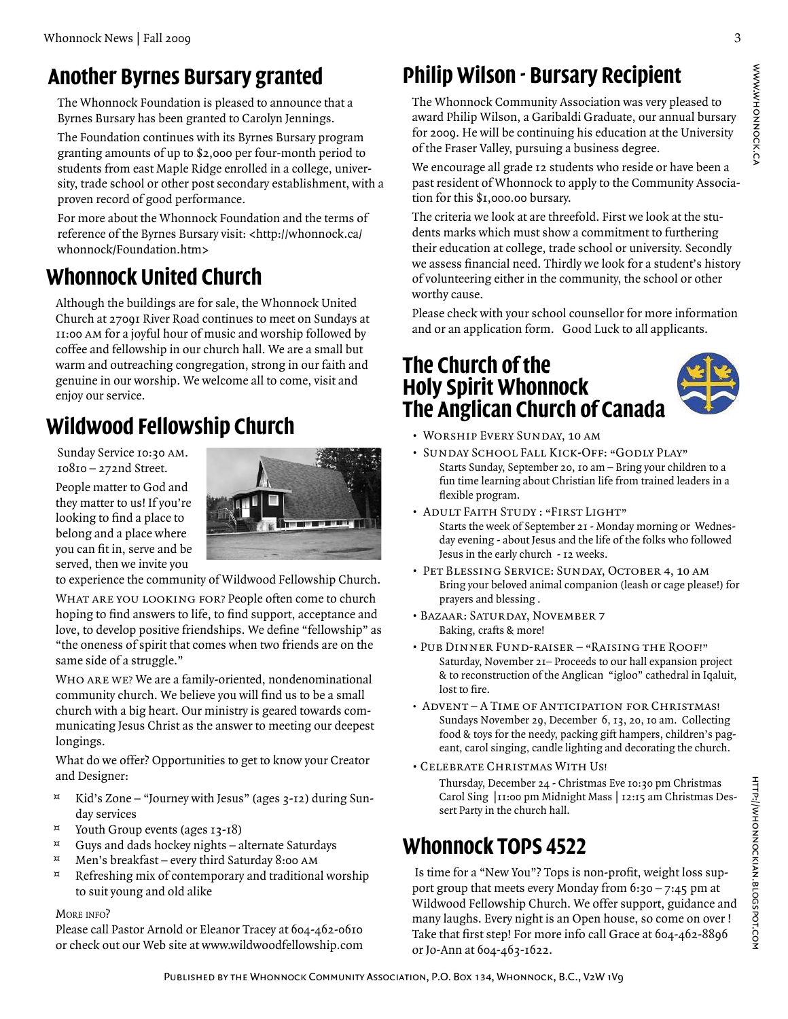## **Another Byrnes Bursary granted**

The Whonnock Foundation is pleased to announce that a Byrnes Bursary has been granted to Carolyn Jennings.

The Foundation continues with its Byrnes Bursary program granting amounts of up to \$2,000 per four-month period to students from east Maple Ridge enrolled in a college, university, trade school or other post secondary establishment, with a proven record of good performance.

For more about the Whonnock Foundation and the terms of reference of the Byrnes Bursary visit: <http://whonnock.ca/ whonnock/Foundation.htm>

## **Whonnock United Church**

Although the buildings are for sale, the Whonnock United Church at 27091 River Road continues to meet on Sundays at 11:00 am for a joyful hour of music and worship followed by coffee and fellowship in our church hall. We are a small but warm and outreaching congregation, strong in our faith and genuine in our worship. We welcome all to come, visit and enjoy our service.

## **Wildwood Fellowship Church**

Sunday Service 10:30 AM. 10810 – 272nd Street.

People matter to God and they matter to us! If you're looking to find a place to belong and a place where you can fit in, serve and be served, then we invite you



to experience the community of Wildwood Fellowship Church.

WHAT ARE YOU LOOKING FOR? People often come to church hoping to find answers to life, to find support, acceptance and love, to develop positive friendships. We define "fellowship" as "the oneness of spirit that comes when two friends are on the same side of a struggle."

Who are we? We are a family-oriented, nondenominational community church. We believe you will find us to be a small church with a big heart. Our ministry is geared towards communicating Jesus Christ as the answer to meeting our deepest longings.

What do we offer? Opportunities to get to know your Creator and Designer:

- $\alpha$  Kid's Zone "Journey with Jesus" (ages 3-12) during Sunday services
- ¤ Youth Group events (ages 13-18)
- $\alpha$  Guys and dads hockey nights alternate Saturdays
- $\alpha$  Men's breakfast every third Saturday 8:00 AM
- $\alpha$  Refreshing mix of contemporary and traditional worship to suit young and old alike

#### MORE INFO?

Please call Pastor Arnold or Eleanor Tracey at 604-462-0610 or check out our Web site at www.wildwoodfellowship.com

## **Philip Wilson - Bursary Recipient**

The Whonnock Community Association was very pleased to award Philip Wilson, a Garibaldi Graduate, our annual bursary for 2009. He will be continuing his education at the University of the Fraser Valley, pursuing a business degree.

We encourage all grade 12 students who reside or have been a past resident of Whonnock to apply to the Community Association for this \$1,000.00 bursary.

The criteria we look at are threefold. First we look at the students marks which must show a commitment to furthering their education at college, trade school or university. Secondly we assess financial need. Thirdly we look for a student's history of volunteering either in the community, the school or other worthy cause.

Please check with your school counsellor for more information and or an application form. Good Luck to all applicants.

#### **The Church of the Holy Spirit Whonnock The Anglican Church of Canada**



- Worship Every Sunday, 10 am
- Sunday School Fall Kick-Off: "Godly Play" Starts Sunday, September 20, 10 am – Bring your children to a fun time learning about Christian life from trained leaders in a flexible program.
- Adult Faith Study : "First Light" Starts the week of September 21 - Monday morning or Wednesday evening - about Jesus and the life of the folks who followed Jesus in the early church - 12 weeks.
- Pet Blessing Service: Sunday, October 4, 10 am Bring your beloved animal companion (leash or cage please!) for prayers and blessing .
- Bazaar: Saturday, November 7 Baking, crafts & more!
- Pub Dinner Fund-raiser "Raising the Roof!" Saturday, November 21– Proceeds to our hall expansion project & to reconstruction of the Anglican "igloo" cathedral in Iqaluit, lost to fire.
- Advent A Time of Anticipation for Christmas! Sundays November 29, December 6, 13, 20, 10 am. Collecting food & toys for the needy, packing gift hampers, children's pageant, carol singing, candle lighting and decorating the church.
- Celebrate Christmas With Us!

Thursday, December 24 - Christmas Eve 10:30 pm Christmas Carol Sing |11:00 pm Midnight Mass | 12:15 am Christmas Dessert Party in the church hall.

## **Whonnock TOPS 4522**

 Is time for a "New You"? Tops is non-profit, weight loss support group that meets every Monday from  $6:30 - 7:45$  pm at Wildwood Fellowship Church. We offer support, guidance and many laughs. Every night is an Open house, so come on over ! Take that first step! For more info call Grace at 604-462-8896 or Jo-Ann at 604-463-1622.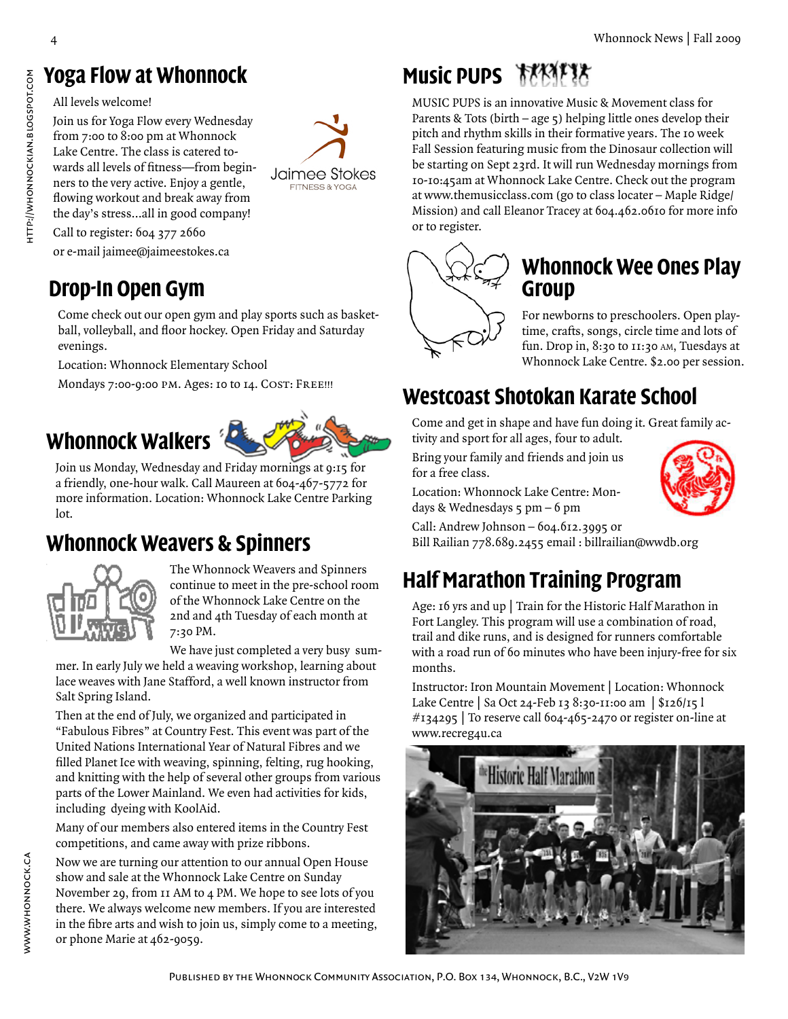## **Yoga Flow at Whonnock**

All levels welcome!

Join us for Yoga Flow every Wednesday from 7:00 to 8:00 pm at Whonnock Lake Centre. The class is catered towards all levels of fitness—from beginners to the very active. Enjoy a gentle, flowing workout and break away from the day's stress…all in good company!

Jaimee Stokes **FITNESS & YOGA** 

Call to register: 604 377 2660

or e-mail jaimee@jaimeestokes.ca

## **Drop-In Open Gym**

Come check out our open gym and play sports such as basketball, volleyball, and floor hockey. Open Friday and Saturday evenings.

Location: Whonnock Elementary School

## **Whonnock Walkers**



Join us Monday, Wednesday and Friday mornings at 9:15 for a friendly, one-hour walk. Call Maureen at 604-467-5772 for more information. Location: Whonnock Lake Centre Parking lot.

#### **Whonnock Weavers & Spinners**



The Whonnock Weavers and Spinners continue to meet in the pre-school room of the Whonnock Lake Centre on the 2nd and 4th Tuesday of each month at 7:30 PM.

We have just completed a very busy summer. In early July we held a weaving workshop, learning about lace weaves with Jane Stafford, a well known instructor from Salt Spring Island.

Then at the end of July, we organized and participated in "Fabulous Fibres" at Country Fest. This event was part of the United Nations International Year of Natural Fibres and we filled Planet Ice with weaving, spinning, felting, rug hooking, and knitting with the help of several other groups from various parts of the Lower Mainland. We even had activities for kids, including dyeing with KoolAid.

Many of our members also entered items in the Country Fest competitions, and came away with prize ribbons.

Now we are turning our attention to our annual Open House show and sale at the Whonnock Lake Centre on Sunday November 29, from 11 AM to 4 PM. We hope to see lots of you there. We always welcome new members. If you are interested in the fibre arts and wish to join us, simply come to a meeting, or phone Marie at 462-9059.

# **Music PUPS MAYER**

MUSIC PUPS is an innovative Music & Movement class for Parents & Tots (birth – age  $\zeta$ ) helping little ones develop their pitch and rhythm skills in their formative years. The 10 week Fall Session featuring music from the Dinosaur collection will be starting on Sept 23rd. It will run Wednesday mornings from 10-10:45am at Whonnock Lake Centre. Check out the program at www.themusicclass.com (go to class locater – Maple Ridge/ Mission) and call Eleanor Tracey at 604.462.0610 for more info or to register.



#### **Whonnock Wee Ones Play Group**

For newborns to preschoolers. Open playtime, crafts, songs, circle time and lots of fun. Drop in, 8:30 to 11:30 AM, Tuesdays at Whonnock Lake Centre. \$2.00 per session.

# Mondays 7:00-9:00 pm. Ages: 10 to 14. Cost: Free!!! **Westcoast Shotokan Karate School**

Come and get in shape and have fun doing it. Great family activity and sport for all ages, four to adult.

Bring your family and friends and join us for a free class.

Location: Whonnock Lake Centre: Mondays & Wednesdays 5 pm – 6 pm

Call: Andrew Johnson – 604.612.3995 or

Bill Railian 778.689.2455 email : billrailian@wwdb.org

## **Half Marathon Training Program**

Age: 16 yrs and up | Train for the Historic Half Marathon in Fort Langley. This program will use a combination of road, trail and dike runs, and is designed for runners comfortable with a road run of 60 minutes who have been injury-free for six months.

Instructor: Iron Mountain Movement | Location: Whonnock Lake Centre | Sa Oct 24-Feb 13 8:30-11:00 am | \$126/15 l  $\#134295$  | To reserve call 604-465-2470 or register on-line at www.recreg4u.ca



HTTP://WHONNOCKIAN.BLOGSPOT.COM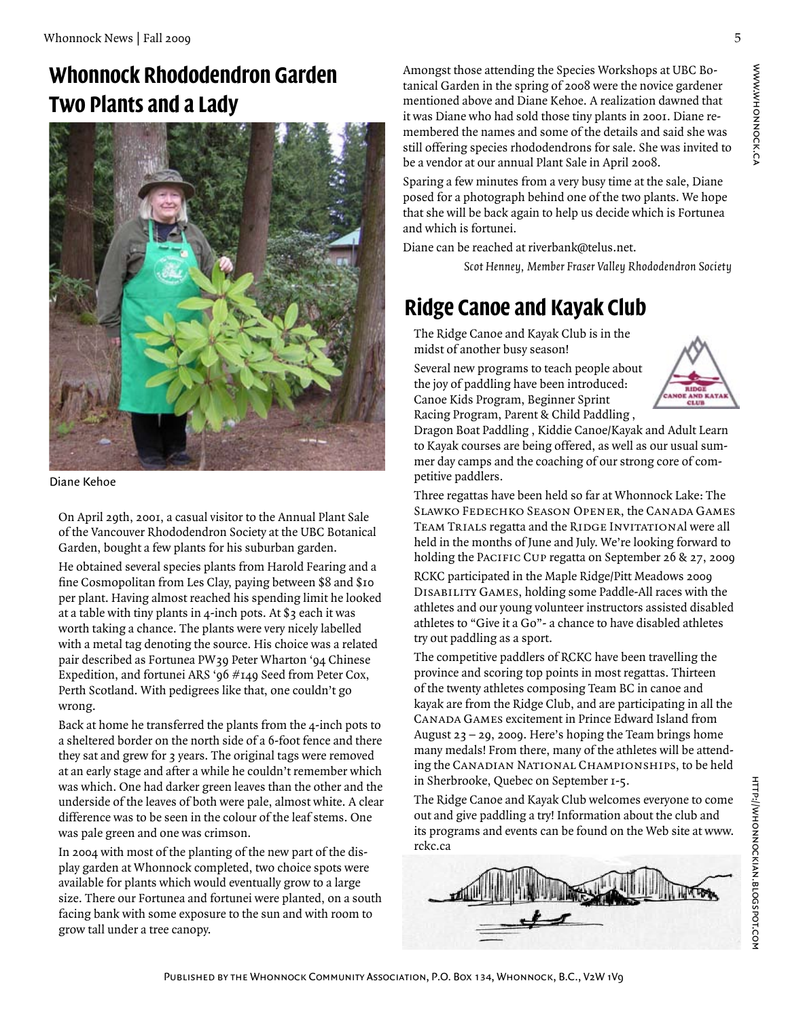## **Whonnock Rhododendron Garden Two Plants and a Lady**



Diane Kehoe

On April 29th, 2001, a casual visitor to the Annual Plant Sale of the Vancouver Rhododendron Society at the UBC Botanical Garden, bought a few plants for his suburban garden.

He obtained several species plants from Harold Fearing and a fine Cosmopolitan from Les Clay, paying between \$8 and \$10 per plant. Having almost reached his spending limit he looked at a table with tiny plants in 4-inch pots. At  $\S$ 3 each it was worth taking a chance. The plants were very nicely labelled with a metal tag denoting the source. His choice was a related pair described as Fortunea PW39 Peter Wharton '94 Chinese Expedition, and fortunei ARS '96 #149 Seed from Peter Cox, Perth Scotland. With pedigrees like that, one couldn't go wrong.

Back at home he transferred the plants from the 4-inch pots to a sheltered border on the north side of a 6-foot fence and there they sat and grew for 3 years. The original tags were removed at an early stage and after a while he couldn't remember which was which. One had darker green leaves than the other and the underside of the leaves of both were pale, almost white. A clear difference was to be seen in the colour of the leaf stems. One was pale green and one was crimson.

In 2004 with most of the planting of the new part of the display garden at Whonnock completed, two choice spots were available for plants which would eventually grow to a large size. There our Fortunea and fortunei were planted, on a south facing bank with some exposure to the sun and with room to grow tall under a tree canopy.

Amongst those attending the Species Workshops at UBC Botanical Garden in the spring of 2008 were the novice gardener mentioned above and Diane Kehoe. A realization dawned that it was Diane who had sold those tiny plants in 2001. Diane remembered the names and some of the details and said she was still offering species rhododendrons for sale. She was invited to be a vendor at our annual Plant Sale in April 2008.

Sparing a few minutes from a very busy time at the sale, Diane posed for a photograph behind one of the two plants. We hope that she will be back again to help us decide which is Fortunea and which is fortunei.

Diane can be reached at riverbank@telus.net.

*Scot Henney, Member Fraser Valley Rhododendron Society*

## **Ridge Canoe and Kayak Club**

The Ridge Canoe and Kayak Club is in the midst of another busy season!

Several new programs to teach people about the joy of paddling have been introduced: Canoe Kids Program, Beginner Sprint Racing Program, Parent & Child Paddling ,



Dragon Boat Paddling , Kiddie Canoe/Kayak and Adult Learn to Kayak courses are being offered, as well as our usual summer day camps and the coaching of our strong core of competitive paddlers.

Three regattas have been held so far at Whonnock Lake: The Slawko Fedechko Season Opener, the Canada Games TEAM TRIALS regatta and the RIDGE INVITATIONAl were all held in the months of June and July. We're looking forward to holding the PACIFIC CUP regatta on September 26 & 27, 2009

RCKC participated in the Maple Ridge/Pitt Meadows 2009 Disability Games, holding some Paddle-All races with the athletes and our young volunteer instructors assisted disabled athletes to "Give it a Go"- a chance to have disabled athletes try out paddling as a sport.

The competitive paddlers of RCKC have been travelling the province and scoring top points in most regattas. Thirteen of the twenty athletes composing Team BC in canoe and kayak are from the Ridge Club, and are participating in all the Canada Games excitement in Prince Edward Island from August 23 – 29, 2009. Here's hoping the Team brings home many medals! From there, many of the athletes will be attending the Canadian National Championships, to be held in Sherbrooke, Quebec on September 1-5.

The Ridge Canoe and Kayak Club welcomes everyone to come out and give paddling a try! Information about the club and its programs and events can be found on the Web site at www. rckc.ca



www.whonnock.ca

WWW.WHONNOCK.CA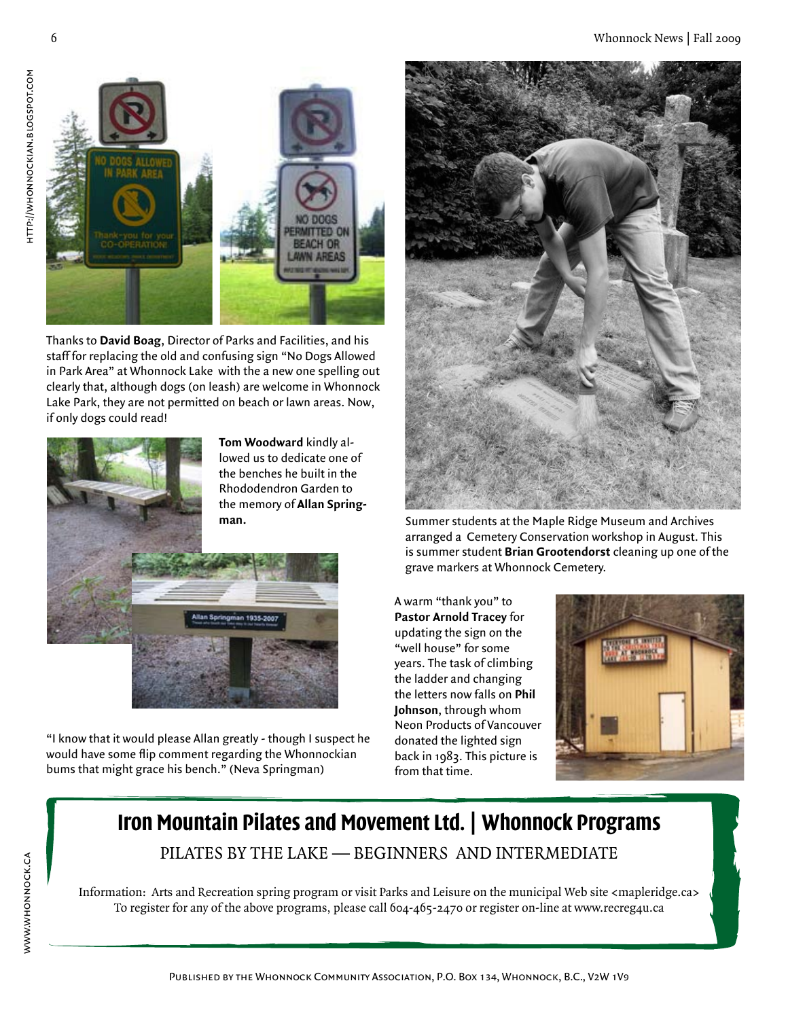#### 6 Whonnock News | Fall 2009



Thanks to **David Boag**, Director of Parks and Facilities, and his staff for replacing the old and confusing sign "No Dogs Allowed in Park Area" at Whonnock Lake with the a new one spelling out clearly that, although dogs (on leash) are welcome in Whonnock Lake Park, they are not permitted on beach or lawn areas. Now, if only dogs could read!



"I know that it would please Allan greatly - though I suspect he would have some flip comment regarding the Whonnockian bums that might grace his bench." (Neva Springman)



Summer students at the Maple Ridge Museum and Archives arranged a Cemetery Conservation workshop in August. This is summer student **Brian Grootendorst** cleaning up one of the grave markers at Whonnock Cemetery.

A warm "thank you" to **Pastor Arnold Tracey** for updating the sign on the "well house" for some years. The task of climbing the ladder and changing the letters now falls on **Phil Johnson**, through whom Neon Products of Vancouver donated the lighted sign back in 1983. This picture is from that time.



## **Iron Mountain Pilates and Movement Ltd. | Whonnock Programs** Pilates by the Lake — BeginneRS and Intermediate

Information: Arts and Recreation spring program or visit Parks and Leisure on the municipal Web site <mapleridge.ca> To register for any of the above programs, please call 604-465-2470 or register on-line at www.recreg4u.ca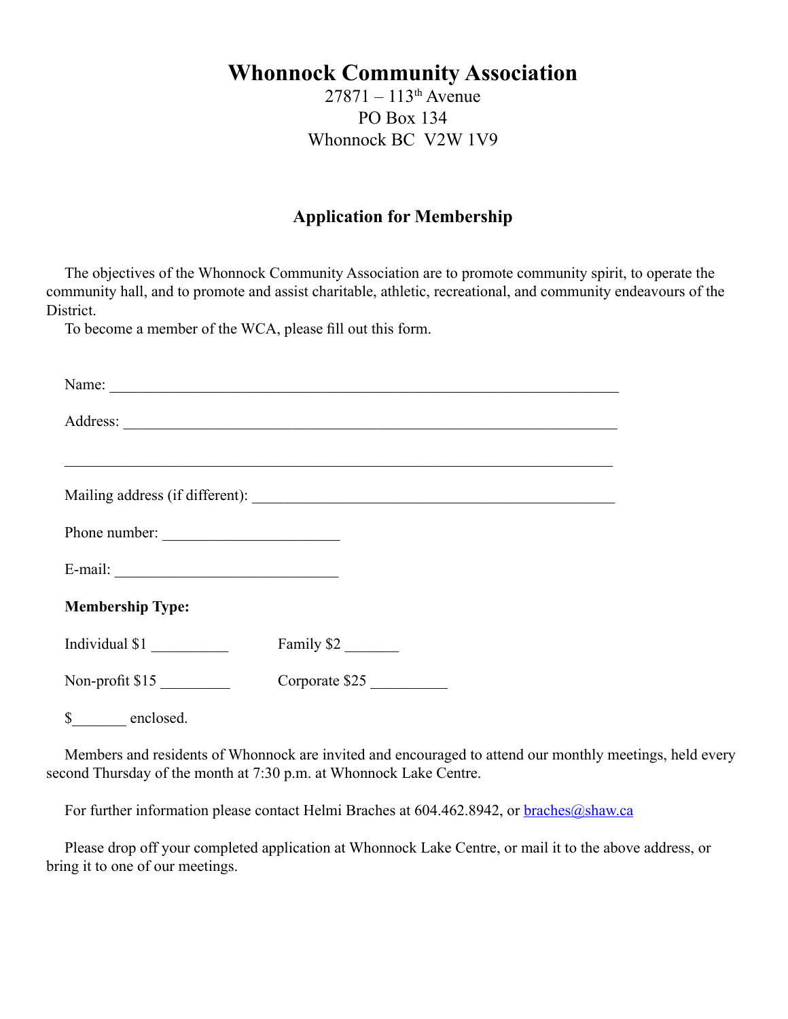#### **Whonnock Community Association**

 $27871 - 113$ <sup>th</sup> Avenue PO Box 134 Whonnock BC V2W 1V9

#### **Application for Membership**

The objectives of the Whonnock Community Association are to promote community spirit, to operate the community hall, and to promote and assist charitable, athletic, recreational, and community endeavours of the District.

To become a member of the WCA, please fill out this form.

|                           | Name:          |
|---------------------------|----------------|
|                           |                |
|                           |                |
| Phone number:             |                |
| $E$ -mail:                |                |
| <b>Membership Type:</b>   |                |
|                           | Family \$2     |
| Non-profit $$15$          | Corporate \$25 |
| enclosed.<br>$\mathbb{S}$ |                |

Members and residents of Whonnock are invited and encouraged to attend our monthly meetings, held every second Thursday of the month at 7:30 p.m. at Whonnock Lake Centre.

For further information please contact Helmi Braches at  $604.462.8942$ , or  $braches@shaw.ca$ </u>

Please drop off your completed application at Whonnock Lake Centre, or mail it to the above address, or bring it to one of our meetings.